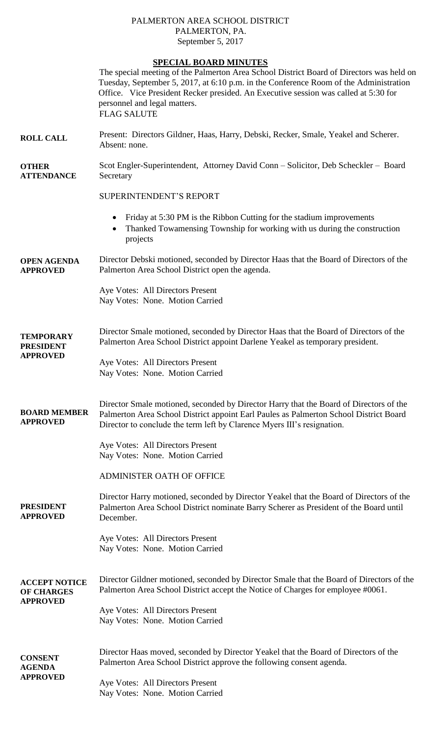# PALMERTON AREA SCHOOL DISTRICT PALMERTON, PA. September 5, 2017

# **SPECIAL BOARD MINUTES**

|                                                              | <b>SPECIAL BOARD MINUTES</b>                                                                                                                                                                                                                                                                                                   |
|--------------------------------------------------------------|--------------------------------------------------------------------------------------------------------------------------------------------------------------------------------------------------------------------------------------------------------------------------------------------------------------------------------|
|                                                              | The special meeting of the Palmerton Area School District Board of Directors was held on<br>Tuesday, September 5, 2017, at 6:10 p.m. in the Conference Room of the Administration<br>Office. Vice President Recker presided. An Executive session was called at 5:30 for<br>personnel and legal matters.<br><b>FLAG SALUTE</b> |
| <b>ROLL CALL</b>                                             | Present: Directors Gildner, Haas, Harry, Debski, Recker, Smale, Yeakel and Scherer.<br>Absent: none.                                                                                                                                                                                                                           |
| <b>OTHER</b><br><b>ATTENDANCE</b>                            | Scot Engler-Superintendent, Attorney David Conn - Solicitor, Deb Scheckler - Board<br>Secretary                                                                                                                                                                                                                                |
|                                                              | <b>SUPERINTENDENT'S REPORT</b>                                                                                                                                                                                                                                                                                                 |
|                                                              | Friday at 5:30 PM is the Ribbon Cutting for the stadium improvements<br>$\bullet$<br>Thanked Towamensing Township for working with us during the construction<br>$\bullet$<br>projects                                                                                                                                         |
| <b>OPEN AGENDA</b><br><b>APPROVED</b>                        | Director Debski motioned, seconded by Director Haas that the Board of Directors of the<br>Palmerton Area School District open the agenda.                                                                                                                                                                                      |
|                                                              | Aye Votes: All Directors Present<br>Nay Votes: None. Motion Carried                                                                                                                                                                                                                                                            |
| <b>TEMPORARY</b><br><b>PRESIDENT</b><br><b>APPROVED</b>      | Director Smale motioned, seconded by Director Haas that the Board of Directors of the<br>Palmerton Area School District appoint Darlene Yeakel as temporary president.                                                                                                                                                         |
|                                                              | Aye Votes: All Directors Present<br>Nay Votes: None. Motion Carried                                                                                                                                                                                                                                                            |
| <b>BOARD MEMBER</b><br><b>APPROVED</b>                       | Director Smale motioned, seconded by Director Harry that the Board of Directors of the<br>Palmerton Area School District appoint Earl Paules as Palmerton School District Board<br>Director to conclude the term left by Clarence Myers III's resignation.                                                                     |
|                                                              | Aye Votes: All Directors Present<br>Nay Votes: None. Motion Carried                                                                                                                                                                                                                                                            |
|                                                              | <b>ADMINISTER OATH OF OFFICE</b>                                                                                                                                                                                                                                                                                               |
| <b>PRESIDENT</b><br><b>APPROVED</b>                          | Director Harry motioned, seconded by Director Yeakel that the Board of Directors of the<br>Palmerton Area School District nominate Barry Scherer as President of the Board until<br>December.                                                                                                                                  |
|                                                              | Aye Votes: All Directors Present<br>Nay Votes: None. Motion Carried                                                                                                                                                                                                                                                            |
| <b>ACCEPT NOTICE</b><br><b>OF CHARGES</b><br><b>APPROVED</b> | Director Gildner motioned, seconded by Director Smale that the Board of Directors of the<br>Palmerton Area School District accept the Notice of Charges for employee #0061.                                                                                                                                                    |
|                                                              | Aye Votes: All Directors Present<br>Nay Votes: None. Motion Carried                                                                                                                                                                                                                                                            |
| <b>CONSENT</b><br><b>AGENDA</b><br><b>APPROVED</b>           | Director Haas moved, seconded by Director Yeakel that the Board of Directors of the<br>Palmerton Area School District approve the following consent agenda.                                                                                                                                                                    |
|                                                              | Aye Votes: All Directors Present<br>Nay Votes: None. Motion Carried                                                                                                                                                                                                                                                            |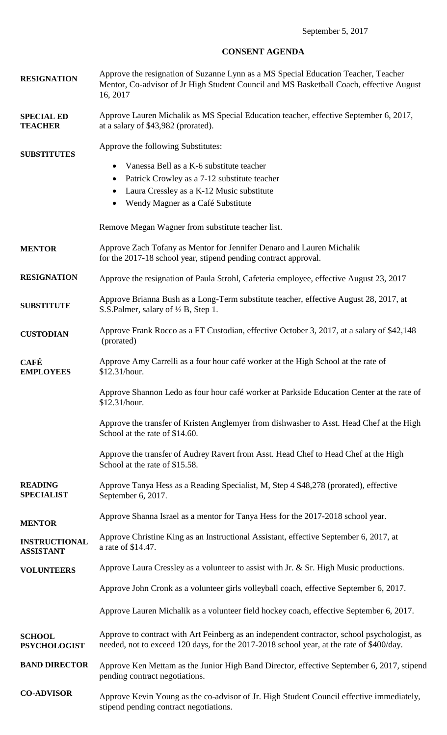# **CONSENT AGENDA**

| <b>RESIGNATION</b>                       | Approve the resignation of Suzanne Lynn as a MS Special Education Teacher, Teacher<br>Mentor, Co-advisor of Jr High Student Council and MS Basketball Coach, effective August<br>16, 2017                                                               |
|------------------------------------------|---------------------------------------------------------------------------------------------------------------------------------------------------------------------------------------------------------------------------------------------------------|
| <b>SPECIAL ED</b><br><b>TEACHER</b>      | Approve Lauren Michalik as MS Special Education teacher, effective September 6, 2017,<br>at a salary of \$43,982 (prorated).                                                                                                                            |
| <b>SUBSTITUTES</b>                       | Approve the following Substitutes:<br>Vanessa Bell as a K-6 substitute teacher<br>$\bullet$<br>Patrick Crowley as a 7-12 substitute teacher<br>$\bullet$<br>Laura Cressley as a K-12 Music substitute<br>$\bullet$<br>Wendy Magner as a Café Substitute |
|                                          | Remove Megan Wagner from substitute teacher list.                                                                                                                                                                                                       |
| <b>MENTOR</b>                            | Approve Zach Tofany as Mentor for Jennifer Denaro and Lauren Michalik<br>for the 2017-18 school year, stipend pending contract approval.                                                                                                                |
| <b>RESIGNATION</b>                       | Approve the resignation of Paula Strohl, Cafeteria employee, effective August 23, 2017                                                                                                                                                                  |
| <b>SUBSTITUTE</b>                        | Approve Brianna Bush as a Long-Term substitute teacher, effective August 28, 2017, at<br>S.S.Palmer, salary of 1/2 B, Step 1.                                                                                                                           |
| <b>CUSTODIAN</b>                         | Approve Frank Rocco as a FT Custodian, effective October 3, 2017, at a salary of \$42,148<br>(prorated)                                                                                                                                                 |
| <b>CAFÉ</b><br><b>EMPLOYEES</b>          | Approve Amy Carrelli as a four hour café worker at the High School at the rate of<br>\$12.31/hour.                                                                                                                                                      |
|                                          | Approve Shannon Ledo as four hour café worker at Parkside Education Center at the rate of<br>\$12.31/hour.                                                                                                                                              |
|                                          | Approve the transfer of Kristen Anglemyer from dishwasher to Asst. Head Chef at the High<br>School at the rate of \$14.60.                                                                                                                              |
|                                          | Approve the transfer of Audrey Ravert from Asst. Head Chef to Head Chef at the High<br>School at the rate of \$15.58.                                                                                                                                   |
| <b>READING</b><br><b>SPECIALIST</b>      | Approve Tanya Hess as a Reading Specialist, M, Step 4 \$48,278 (prorated), effective<br>September 6, 2017.                                                                                                                                              |
| <b>MENTOR</b>                            | Approve Shanna Israel as a mentor for Tanya Hess for the 2017-2018 school year.                                                                                                                                                                         |
| <b>INSTRUCTIONAL</b><br><b>ASSISTANT</b> | Approve Christine King as an Instructional Assistant, effective September 6, 2017, at<br>a rate of \$14.47.                                                                                                                                             |
| <b>VOLUNTEERS</b>                        | Approve Laura Cressley as a volunteer to assist with Jr. & Sr. High Music productions.                                                                                                                                                                  |
|                                          | Approve John Cronk as a volunteer girls volleyball coach, effective September 6, 2017.                                                                                                                                                                  |
|                                          | Approve Lauren Michalik as a volunteer field hockey coach, effective September 6, 2017.                                                                                                                                                                 |
| <b>SCHOOL</b><br><b>PSYCHOLOGIST</b>     | Approve to contract with Art Feinberg as an independent contractor, school psychologist, as<br>needed, not to exceed 120 days, for the 2017-2018 school year, at the rate of \$400/day.                                                                 |
| <b>BAND DIRECTOR</b>                     | Approve Ken Mettam as the Junior High Band Director, effective September 6, 2017, stipend<br>pending contract negotiations.                                                                                                                             |
| <b>CO-ADVISOR</b>                        | Approve Kevin Young as the co-advisor of Jr. High Student Council effective immediately,<br>stipend pending contract negotiations.                                                                                                                      |